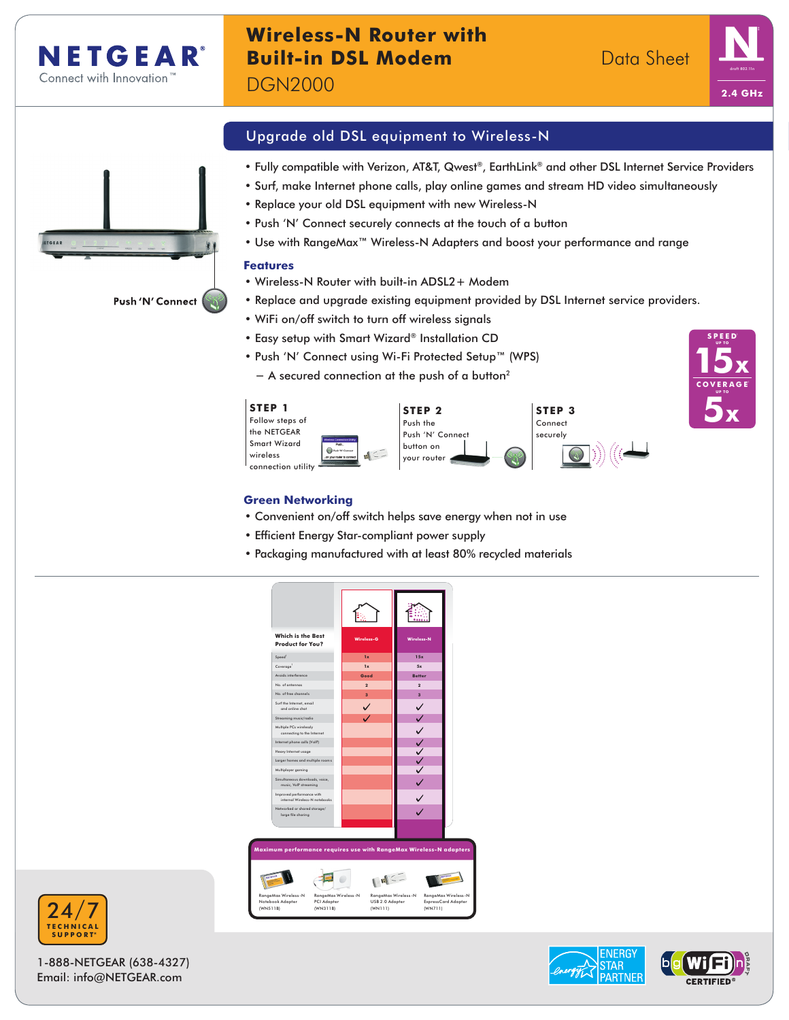

# **Wireless-N Router with Built-in DSL Modem**  Data Sheet

DGN2000



**15x**

**C O V E R A G E**<sup>1</sup> **UP TO**

**5x**

**SPEED**<sup>1</sup> **UP TO**



Upgrade old DSL equipment to Wireless-N

- Fully compatible with Verizon, AT&T, Qwest®, EarthLink® and other DSL Internet Service Providers
- Surf, make Internet phone calls, play online games and stream HD video simultaneously
- Replace your old DSL equipment with new Wireless-N
- Push 'N' Connect securely connects at the touch of a button
- Use with RangeMax™ Wireless-N Adapters and boost your performance and range

### **Features**

- Wireless-N Router with built-in ADSL2+ Modem
- Replace and upgrade existing equipment provided by DSL Internet service providers.
- WiFi on/off switch to turn off wireless signals
- Easy setup with Smart Wizard® Installation CD
- Push 'N' Connect using Wi-Fi Protected Setup™ (WPS)

− A secured connection at the push of a button<sup>2</sup>



### **Green Networking**

- Convenient on/off switch helps save energy when not in use
- Efficient Energy Star-compliant power supply
- Packaging manufactured with at least 80% recycled materials





1-888-NETGEAR (638-4327) Email: info@NETGEAR.com